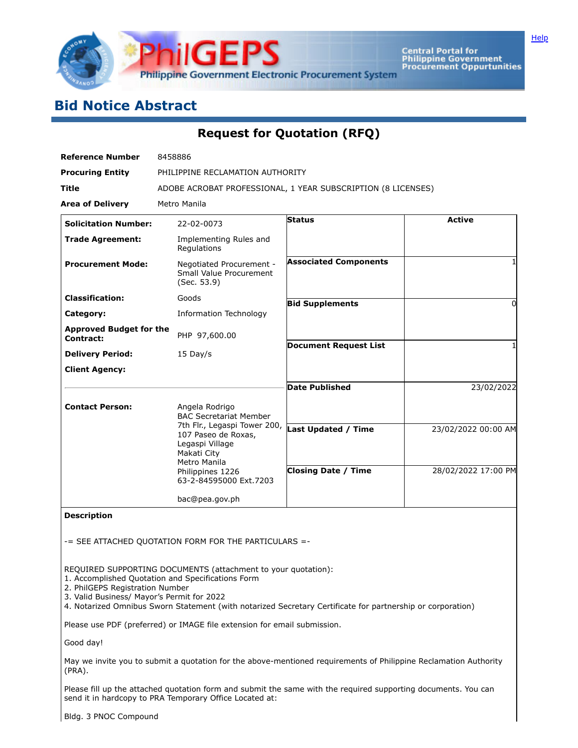

Central Portal for<br>Philippine Government<br>Procurement Oppurtunities

# **Bid Notice Abstract**

**Request for Quotation (RFQ)**

| <b>Reference Number</b>                     | 8458886                                                                                               |                                                              |                     |  |  |  |  |  |  |
|---------------------------------------------|-------------------------------------------------------------------------------------------------------|--------------------------------------------------------------|---------------------|--|--|--|--|--|--|
| <b>Procuring Entity</b>                     |                                                                                                       | PHILIPPINE RECLAMATION AUTHORITY                             |                     |  |  |  |  |  |  |
| <b>Title</b>                                |                                                                                                       | ADOBE ACROBAT PROFESSIONAL, 1 YEAR SUBSCRIPTION (8 LICENSES) |                     |  |  |  |  |  |  |
| <b>Area of Delivery</b>                     | Metro Manila                                                                                          |                                                              |                     |  |  |  |  |  |  |
| <b>Solicitation Number:</b>                 | 22-02-0073                                                                                            | <b>Status</b>                                                | <b>Active</b>       |  |  |  |  |  |  |
| <b>Trade Agreement:</b>                     | Implementing Rules and<br>Regulations                                                                 |                                                              |                     |  |  |  |  |  |  |
| <b>Procurement Mode:</b>                    | Negotiated Procurement -<br>Small Value Procurement<br>(Sec. 53.9)                                    | <b>Associated Components</b>                                 |                     |  |  |  |  |  |  |
| <b>Classification:</b>                      | Goods                                                                                                 | <b>Bid Supplements</b>                                       | 0                   |  |  |  |  |  |  |
| Category:                                   | <b>Information Technology</b>                                                                         |                                                              |                     |  |  |  |  |  |  |
| <b>Approved Budget for the</b><br>Contract: | PHP 97,600.00                                                                                         |                                                              |                     |  |  |  |  |  |  |
| <b>Delivery Period:</b>                     | $15$ Day/s                                                                                            | <b>Document Request List</b>                                 |                     |  |  |  |  |  |  |
| <b>Client Agency:</b>                       |                                                                                                       |                                                              |                     |  |  |  |  |  |  |
|                                             |                                                                                                       | <b>Date Published</b>                                        | 23/02/2022          |  |  |  |  |  |  |
| <b>Contact Person:</b>                      | Angela Rodrigo<br><b>BAC Secretariat Member</b>                                                       |                                                              |                     |  |  |  |  |  |  |
|                                             | 7th Flr., Legaspi Tower 200,<br>107 Paseo de Roxas,<br>Legaspi Village<br>Makati City<br>Metro Manila | Last Updated / Time                                          | 23/02/2022 00:00 AM |  |  |  |  |  |  |
|                                             | Philippines 1226<br>63-2-84595000 Ext.7203                                                            | <b>Closing Date / Time</b>                                   | 28/02/2022 17:00 PM |  |  |  |  |  |  |
|                                             | bac@pea.gov.ph                                                                                        |                                                              |                     |  |  |  |  |  |  |

**Description**

-= SEE ATTACHED QUOTATION FORM FOR THE PARTICULARS =-

REQUIRED SUPPORTING DOCUMENTS (attachment to your quotation):

1. Accomplished Quotation and Specifications Form

2. PhilGEPS Registration Number

3. Valid Business/ Mayor's Permit for 2022

4. Notarized Omnibus Sworn Statement (with notarized Secretary Certificate for partnership or corporation)

Please use PDF (preferred) or IMAGE file extension for email submission.

Good day!

May we invite you to submit a quotation for the above-mentioned requirements of Philippine Reclamation Authority (PRA).

Please fill up the attached quotation form and submit the same with the required supporting documents. You can send it in hardcopy to PRA Temporary Office Located at:

Bldg. 3 PNOC Compound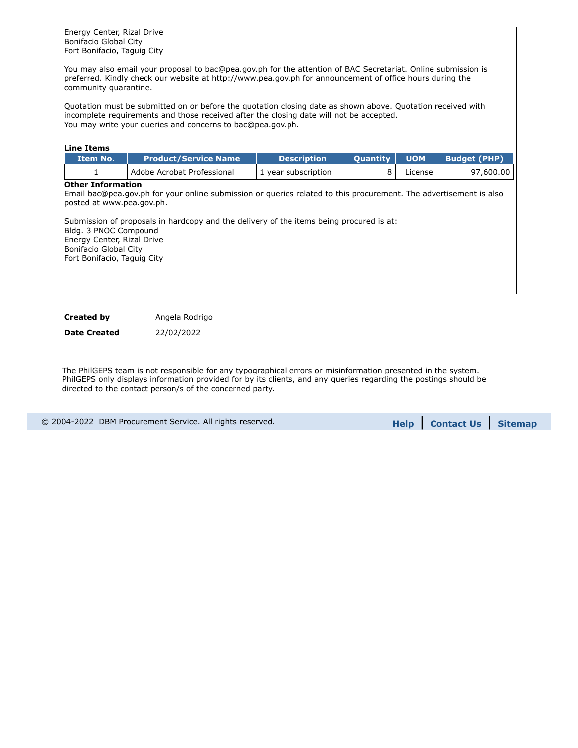Energy Center, Rizal Drive Bonifacio Global City Fort Bonifacio, Taguig City

You may also email your proposal to bac@pea.gov.ph for the attention of BAC Secretariat. Online submission is preferred. Kindly check our website at http://www.pea.gov.ph for announcement of office hours during the community quarantine.

Quotation must be submitted on or before the quotation closing date as shown above. Quotation received with incomplete requirements and those received after the closing date will not be accepted. You may write your queries and concerns to bac@pea.gov.ph.

| <b>Line Items</b>                                                                                                                                                    |                                                                                                                                                                                                              |                     |          |            |                     |
|----------------------------------------------------------------------------------------------------------------------------------------------------------------------|--------------------------------------------------------------------------------------------------------------------------------------------------------------------------------------------------------------|---------------------|----------|------------|---------------------|
| Item No.                                                                                                                                                             | <b>Product/Service Name</b>                                                                                                                                                                                  | <b>Description</b>  | Quantity | <b>UOM</b> | <b>Budget (PHP)</b> |
| 1                                                                                                                                                                    | Adobe Acrobat Professional                                                                                                                                                                                   | 1 year subscription | 8        | License    | 97,600.00           |
| <b>Other Information</b><br>posted at www.pea.gov.ph.<br>Bldg. 3 PNOC Compound<br>Energy Center, Rizal Drive<br>Bonifacio Global City<br>Fort Bonifacio, Taguig City | Email bac@pea.gov.ph for your online submission or queries related to this procurement. The advertisement is also<br>Submission of proposals in hardcopy and the delivery of the items being procured is at: |                     |          |            |                     |
| <b>Created by</b>                                                                                                                                                    | Angela Rodrigo                                                                                                                                                                                               |                     |          |            |                     |

**Date Created** 22/02/2022

The PhilGEPS team is not responsible for any typographical errors or misinformation presented in the system. PhilGEPS only displays information provided for by its clients, and any queries regarding the postings should be directed to the contact person/s of the concerned party.

| © 2004-2022 DBM Procurement Service. All rights reserved. | <b>Help Contact Us Sitemap</b> |  |
|-----------------------------------------------------------|--------------------------------|--|
|                                                           |                                |  |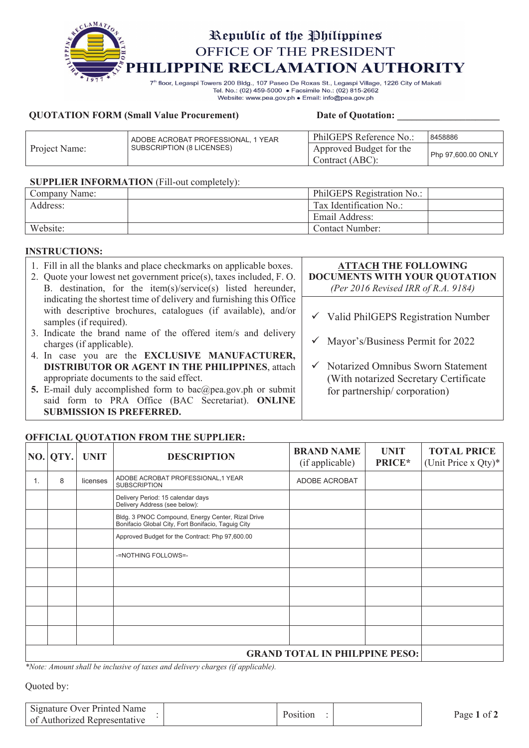

Tel. No.: (02) 459-5000 · Facsimile No.: (02) 815-2662 Website: www.pea.gov.ph . Email: info@pea.gov.ph

#### **QUOTATION FORM (Small Value Procurement)** Date of Quotation:

|               | ADOBE ACROBAT PROFESSIONAL, 1 YEAR | PhilGEPS Reference No.:                    | 8458886            |
|---------------|------------------------------------|--------------------------------------------|--------------------|
| Project Name: | SUBSCRIPTION (8 LICENSES)          | Approved Budget for the<br>Contract (ABC): | Php 97,600.00 ONLY |

#### **SUPPLIER INFORMATION** (Fill-out completely):

| Company Name: | PhilGEPS Registration No.: |  |
|---------------|----------------------------|--|
| Address:      | Tax Identification No.:    |  |
|               | Email Address:             |  |
| Website:      | Contact Number:            |  |

### **INSTRUCTIONS:**

| 1. Fill in all the blanks and place checkmarks on applicable boxes.<br>2. Quote your lowest net government price(s), taxes included, F.O.<br>B. destination, for the item(s)/service(s) listed hereunder, | <b>ATTACH THE FOLLOWING</b><br>DOCUMENTS WITH YOUR QUOTATION<br>(Per 2016 Revised IRR of R.A. 9184) |
|-----------------------------------------------------------------------------------------------------------------------------------------------------------------------------------------------------------|-----------------------------------------------------------------------------------------------------|
| indicating the shortest time of delivery and furnishing this Office<br>with descriptive brochures, catalogues (if available), and/or                                                                      |                                                                                                     |
| samples (if required).                                                                                                                                                                                    | $\checkmark$ Valid PhilGEPS Registration Number                                                     |
| 3. Indicate the brand name of the offered item/s and delivery<br>charges (if applicable).                                                                                                                 | $\checkmark$ Mayor's/Business Permit for 2022                                                       |
| 4. In case you are the EXCLUSIVE MANUFACTURER,                                                                                                                                                            |                                                                                                     |
| <b>DISTRIBUTOR OR AGENT IN THE PHILIPPINES, attach</b>                                                                                                                                                    | $\checkmark$ Notarized Omnibus Sworn Statement                                                      |
| appropriate documents to the said effect.                                                                                                                                                                 | (With notarized Secretary Certificate)                                                              |
| 5. E-mail duly accomplished form to bac@pea.gov.ph or submit                                                                                                                                              | for partnership/corporation)                                                                        |
| said form to PRA Office (BAC Secretariat). ONLINE                                                                                                                                                         |                                                                                                     |
| <b>SUBMISSION IS PREFERRED.</b>                                                                                                                                                                           |                                                                                                     |

### **OFFICIAL QUOTATION FROM THE SUPPLIER:**

|    | NO.  QTY. | <b>UNIT</b> | <b>DESCRIPTION</b>                                                                                      | <b>BRAND NAME</b><br>(if applicable) | <b>UNIT</b><br>PRICE* | <b>TOTAL PRICE</b><br>(Unit Price x Qty)* |
|----|-----------|-------------|---------------------------------------------------------------------------------------------------------|--------------------------------------|-----------------------|-------------------------------------------|
| 1. | 8         | licenses    | ADOBE ACROBAT PROFESSIONAL, 1 YEAR<br><b>SUBSCRIPTION</b>                                               | ADOBE ACROBAT                        |                       |                                           |
|    |           |             | Delivery Period: 15 calendar days<br>Delivery Address (see below):                                      |                                      |                       |                                           |
|    |           |             | Bldg. 3 PNOC Compound, Energy Center, Rizal Drive<br>Bonifacio Global City, Fort Bonifacio, Taguig City |                                      |                       |                                           |
|    |           |             | Approved Budget for the Contract: Php 97,600.00                                                         |                                      |                       |                                           |
|    |           |             | -=NOTHING FOLLOWS=-                                                                                     |                                      |                       |                                           |
|    |           |             |                                                                                                         |                                      |                       |                                           |
|    |           |             |                                                                                                         |                                      |                       |                                           |
|    |           |             |                                                                                                         |                                      |                       |                                           |
|    |           |             |                                                                                                         |                                      |                       |                                           |
|    |           |             |                                                                                                         |                                      |                       |                                           |

*\*Note: Amount shall be inclusive of taxes and delivery charges (if applicable).*

Quoted by:

| Signature Over Printed Name<br>of Authorized Representative |  | Page 1 of |
|-------------------------------------------------------------|--|-----------|